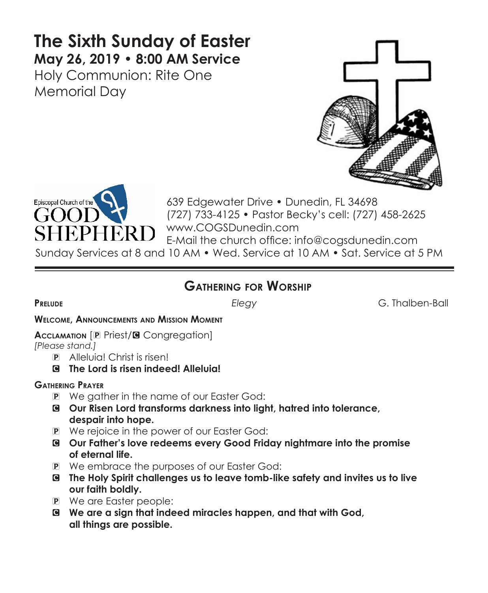# **The Sixth Sunday of Easter May 26, 2019 • 8:00 AM Service**  Holy Communion: Rite One

Memorial Day





639 Edgewater Drive • Dunedin, FL 34698 (727) 733-4125 • Pastor Becky's cell: (727) 458-2625 www.COGSDunedin.com E-Mail the church office: info@cogsdunedin.com Sunday Services at 8 and 10 AM • Wed. Service at 10 AM • Sat. Service at 5 PM

## **Gathering for Worship**

**Prelude** *Elegy* G. Thalben-Ball

**Welcome, Announcements and Mission Moment**

**Acclamation** [P Priest/**G** Congregation]

*[Please stand.]* 

- P Alleluia! Christ is risen!
- C **The Lord is risen indeed! Alleluia!**

#### **Gathering Prayer**

- P We gather in the name of our Easter God:
- C **Our Risen Lord transforms darkness into light, hatred into tolerance, despair into hope.**
- P We rejoice in the power of our Easter God:
- C **Our Father's love redeems every Good Friday nightmare into the promise of eternal life.**
- P We embrace the purposes of our Easter God:
- C **The Holy Spirit challenges us to leave tomb-like safety and invites us to live our faith boldly.**
- P We are Easter people:
- C **We are a sign that indeed miracles happen, and that with God, all things are possible.**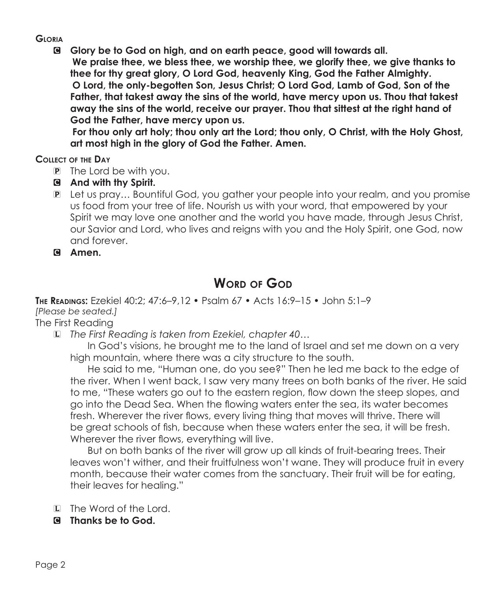#### **Gloria**

C **Glory be to God on high, and on earth peace, good will towards all. We praise thee, we bless thee, we worship thee, we glorify thee, we give thanks to thee for thy great glory, O Lord God, heavenly King, God the Father Almighty. O Lord, the only-begotten Son, Jesus Christ; O Lord God, Lamb of God, Son of the Father, that takest away the sins of the world, have mercy upon us. Thou that takest away the sins of the world, receive our prayer. Thou that sittest at the right hand of God the Father, have mercy upon us.**

 **For thou only art holy; thou only art the Lord; thou only, O Christ, with the Holy Ghost, art most high in the glory of God the Father. Amen.**

#### **Collect of the Day**

- P The Lord be with you.
- C **And with thy Spirit.**
- P Let us pray… Bountiful God, you gather your people into your realm, and you promise us food from your tree of life. Nourish us with your word, that empowered by your Spirit we may love one another and the world you have made, through Jesus Christ, our Savior and Lord, who lives and reigns with you and the Holy Spirit, one God, now and forever.
- C **Amen.**

## **WORD OF GOD**

**The Readings:** Ezekiel 40:2; 47:6–9,12 • Psalm 67 • Acts 16:9–15 • John 5:1–9

### *[Please be seated.]*

The First Reading

L *The First Reading is taken from Ezekiel, chapter 40…*

 In God's visions, he brought me to the land of Israel and set me down on a very high mountain, where there was a city structure to the south.

 He said to me, "Human one, do you see?" Then he led me back to the edge of the river. When I went back, I saw very many trees on both banks of the river. He said to me, "These waters go out to the eastern region, flow down the steep slopes, and go into the Dead Sea. When the flowing waters enter the sea, its water becomes fresh. Wherever the river flows, every living thing that moves will thrive. There will be great schools of fish, because when these waters enter the sea, it will be fresh. Wherever the river flows, everything will live.

 But on both banks of the river will grow up all kinds of fruit-bearing trees. Their leaves won't wither, and their fruitfulness won't wane. They will produce fruit in every month, because their water comes from the sanctuary. Their fruit will be for eating, their leaves for healing."

- L The Word of the Lord.
- C **Thanks be to God.**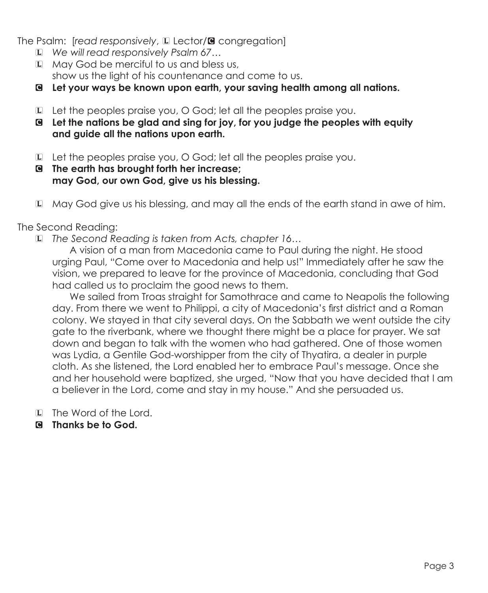The Psalm: [*read responsively*, **L** Lector/**G** congregation]

- L *We will read responsively Psalm 67…*
- L May God be merciful to us and bless us, show us the light of his countenance and come to us.
- C **Let your ways be known upon earth, your saving health among all nations.**
- L Let the peoples praise you, O God; let all the peoples praise you.
- C **Let the nations be glad and sing for joy, for you judge the peoples with equity and guide all the nations upon earth.**
- L Let the peoples praise you, O God; let all the peoples praise you.
- C **The earth has brought forth her increase; may God, our own God, give us his blessing.**
- L May God give us his blessing, and may all the ends of the earth stand in awe of him.

#### The Second Reading:

L *The Second Reading is taken from Acts, chapter 16…*

 A vision of a man from Macedonia came to Paul during the night. He stood urging Paul, "Come over to Macedonia and help us!" Immediately after he saw the vision, we prepared to leave for the province of Macedonia, concluding that God had called us to proclaim the good news to them.

 We sailed from Troas straight for Samothrace and came to Neapolis the following day. From there we went to Philippi, a city of Macedonia's first district and a Roman colony. We stayed in that city several days. On the Sabbath we went outside the city gate to the riverbank, where we thought there might be a place for prayer. We sat down and began to talk with the women who had gathered. One of those women was Lydia, a Gentile God-worshipper from the city of Thyatira, a dealer in purple cloth. As she listened, the Lord enabled her to embrace Paul's message. Once she and her household were baptized, she urged, "Now that you have decided that I am a believer in the Lord, come and stay in my house." And she persuaded us.

- L The Word of the Lord.
- C **Thanks be to God.**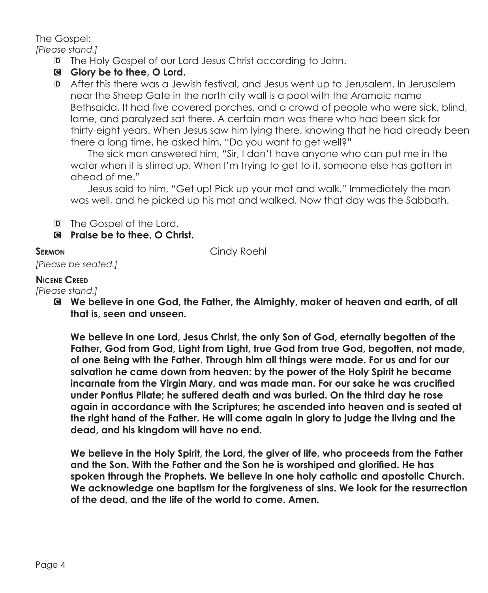The Gospel:

*[Please stand.]*

- D The Holy Gospel of our Lord Jesus Christ according to John.
- C **Glory be to thee, O Lord.**
- D After this there was a Jewish festival, and Jesus went up to Jerusalem. In Jerusalem near the Sheep Gate in the north city wall is a pool with the Aramaic name Bethsaida. It had five covered porches, and a crowd of people who were sick, blind, lame, and paralyzed sat there. A certain man was there who had been sick for thirty-eight years. When Jesus saw him lying there, knowing that he had already been there a long time, he asked him, "Do you want to get well?"

 The sick man answered him, "Sir, I don't have anyone who can put me in the water when it is stirred up. When I'm trying to get to it, someone else has gotten in ahead of me."

 Jesus said to him, "Get up! Pick up your mat and walk." Immediately the man was well, and he picked up his mat and walked. Now that day was the Sabbath.

D The Gospel of the Lord.

C **Praise be to thee, O Christ.**

**SERMON Cindy Roehl** 

#### **Nicene Creed**

*[Please stand.]*

*[Please be seated.]*

C **We believe in one God, the Father, the Almighty, maker of heaven and earth, of all that is, seen and unseen.** 

 **We believe in one Lord, Jesus Christ, the only Son of God, eternally begotten of the Father, God from God, Light from Light, true God from true God, begotten, not made, of one Being with the Father. Through him all things were made. For us and for our salvation he came down from heaven: by the power of the Holy Spirit he became incarnate from the Virgin Mary, and was made man. For our sake he was crucified under Pontius Pilate; he suffered death and was buried. On the third day he rose again in accordance with the Scriptures; he ascended into heaven and is seated at the right hand of the Father. He will come again in glory to judge the living and the dead, and his kingdom will have no end.**

 **We believe in the Holy Spirit, the Lord, the giver of life, who proceeds from the Father and the Son. With the Father and the Son he is worshiped and glorified. He has spoken through the Prophets. We believe in one holy catholic and apostolic Church. We acknowledge one baptism for the forgiveness of sins. We look for the resurrection of the dead, and the life of the world to come. Amen.**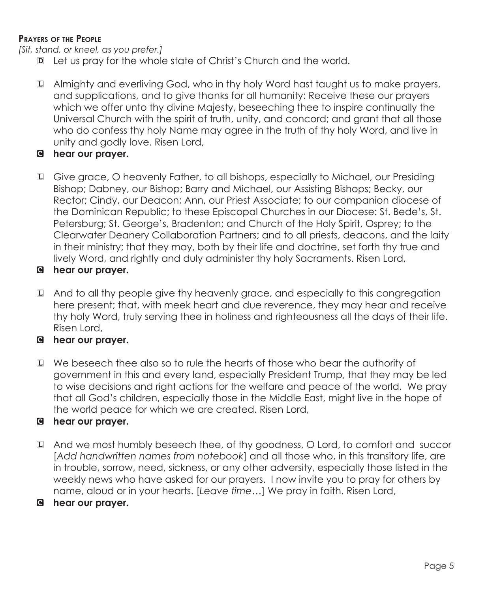#### **Prayers of the People**

*[Sit, stand, or kneel, as you prefer.]*

- D Let us pray for the whole state of Christ's Church and the world.
- L Almighty and everliving God, who in thy holy Word hast taught us to make prayers, and supplications, and to give thanks for all humanity: Receive these our prayers which we offer unto thy divine Majesty, beseeching thee to inspire continually the Universal Church with the spirit of truth, unity, and concord; and grant that all those who do confess thy holy Name may agree in the truth of thy holy Word, and live in unity and godly love. Risen Lord,

#### C **hear our prayer.**

L Give grace, O heavenly Father, to all bishops, especially to Michael, our Presiding Bishop; Dabney, our Bishop; Barry and Michael, our Assisting Bishops; Becky, our Rector; Cindy, our Deacon; Ann, our Priest Associate; to our companion diocese of the Dominican Republic; to these Episcopal Churches in our Diocese: St. Bede's, St. Petersburg; St. George's, Bradenton; and Church of the Holy Spirit, Osprey; to the Clearwater Deanery Collaboration Partners; and to all priests, deacons, and the laity in their ministry; that they may, both by their life and doctrine, set forth thy true and lively Word, and rightly and duly administer thy holy Sacraments. Risen Lord,

#### C **hear our prayer.**

L And to all thy people give thy heavenly grace, and especially to this congregation here present; that, with meek heart and due reverence, they may hear and receive thy holy Word, truly serving thee in holiness and righteousness all the days of their life. Risen Lord,

#### C **hear our prayer.**

L We beseech thee also so to rule the hearts of those who bear the authority of government in this and every land, especially President Trump, that they may be led to wise decisions and right actions for the welfare and peace of the world. We pray that all God's children, especially those in the Middle East, might live in the hope of the world peace for which we are created. Risen Lord,

### C **hear our prayer.**

- L And we most humbly beseech thee, of thy goodness, O Lord, to comfort and succor [*Add handwritten names from notebook*] and all those who, in this transitory life, are in trouble, sorrow, need, sickness, or any other adversity, especially those listed in the weekly news who have asked for our prayers. I now invite you to pray for others by name, aloud or in your hearts. [*Leave time…*] We pray in faith. Risen Lord,
- C **hear our prayer.**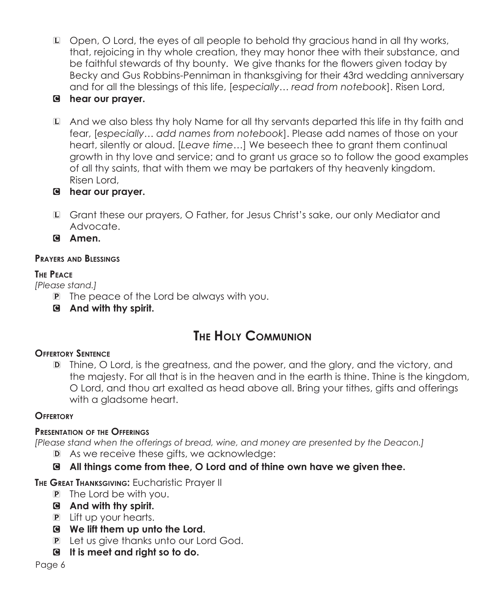- L Open, O Lord, the eyes of all people to behold thy gracious hand in all thy works, that, rejoicing in thy whole creation, they may honor thee with their substance, and be faithful stewards of thy bounty. We give thanks for the flowers given today by Becky and Gus Robbins-Penniman in thanksgiving for their 43rd wedding anniversary and for all the blessings of this life, [*especially… read from notebook*]. Risen Lord,
- C **hear our prayer.**
- L And we also bless thy holy Name for all thy servants departed this life in thy faith and fear, [*especially… add names from notebook*]. Please add names of those on your heart, silently or aloud. [*Leave time…*] We beseech thee to grant them continual growth in thy love and service; and to grant us grace so to follow the good examples of all thy saints, that with them we may be partakers of thy heavenly kingdom. Risen Lord,
- C **hear our prayer.**
- L Grant these our prayers, O Father, for Jesus Christ's sake, our only Mediator and Advocate.

C **Amen.**

#### **Prayers and Blessings**

#### **The Peace**

*[Please stand.]*

- P The peace of the Lord be always with you.
- C **And with thy spirit.**

# **The Holy Communion**

### **Offertory Sentence**

D Thine, O Lord, is the greatness, and the power, and the glory, and the victory, and the majesty. For all that is in the heaven and in the earth is thine. Thine is the kingdom, O Lord, and thou art exalted as head above all. Bring your tithes, gifts and offerings with a gladsome heart.

### **Offertory**

#### **Presentation of the Offerings**

*[Please stand when the offerings of bread, wine, and money are presented by the Deacon.]*

- D As we receive these gifts, we acknowledge:
- C **All things come from thee, O Lord and of thine own have we given thee.**

**The Great Thanksgiving:** Eucharistic Prayer II

- P The Lord be with you.
- C **And with thy spirit.**
- P Lift up your hearts.
- C **We lift them up unto the Lord.**
- P Let us give thanks unto our Lord God.
- C **It is meet and right so to do.**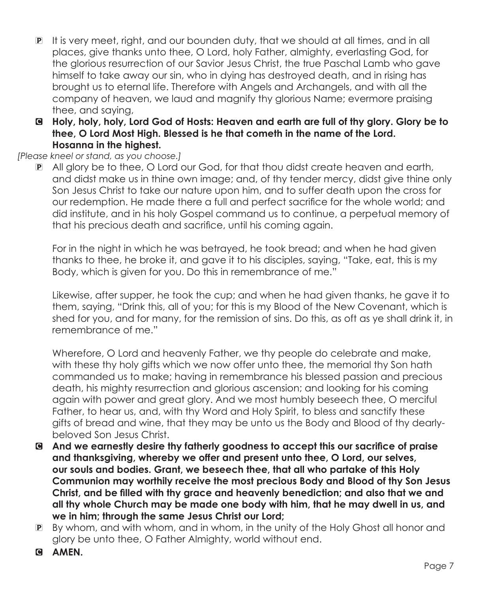- P It is very meet, right, and our bounden duty, that we should at all times, and in all places, give thanks unto thee, O Lord, holy Father, almighty, everlasting God, for the glorious resurrection of our Savior Jesus Christ, the true Paschal Lamb who gave himself to take away our sin, who in dying has destroyed death, and in rising has brought us to eternal life. Therefore with Angels and Archangels, and with all the company of heaven, we laud and magnify thy glorious Name; evermore praising thee, and saying,
- C **Holy, holy, holy, Lord God of Hosts: Heaven and earth are full of thy glory. Glory be to thee, O Lord Most High. Blessed is he that cometh in the name of the Lord. Hosanna in the highest.**

#### *[Please kneel or stand, as you choose.]*

P All glory be to thee, O Lord our God, for that thou didst create heaven and earth, and didst make us in thine own image; and, of thy tender mercy, didst give thine only Son Jesus Christ to take our nature upon him, and to suffer death upon the cross for our redemption. He made there a full and perfect sacrifice for the whole world; and did institute, and in his holy Gospel command us to continue, a perpetual memory of that his precious death and sacrifice, until his coming again.

For in the night in which he was betrayed, he took bread; and when he had given thanks to thee, he broke it, and gave it to his disciples, saying, "Take, eat, this is my Body, which is given for you. Do this in remembrance of me."

 Likewise, after supper, he took the cup; and when he had given thanks, he gave it to them, saying, "Drink this, all of you; for this is my Blood of the New Covenant, which is shed for you, and for many, for the remission of sins. Do this, as oft as ye shall drink it, in remembrance of me."

Wherefore, O Lord and heavenly Father, we thy people do celebrate and make, with these thy holy gifts which we now offer unto thee, the memorial thy Son hath commanded us to make; having in remembrance his blessed passion and precious death, his mighty resurrection and glorious ascension; and looking for his coming again with power and great glory. And we most humbly beseech thee, O merciful Father, to hear us, and, with thy Word and Holy Spirit, to bless and sanctify these gifts of bread and wine, that they may be unto us the Body and Blood of thy dearlybeloved Son Jesus Christ.

- C **And we earnestly desire thy fatherly goodness to accept this our sacrifice of praise and thanksgiving, whereby we offer and present unto thee, O Lord, our selves, our souls and bodies. Grant, we beseech thee, that all who partake of this Holy Communion may worthily receive the most precious Body and Blood of thy Son Jesus Christ, and be filled with thy grace and heavenly benediction; and also that we and all thy whole Church may be made one body with him, that he may dwell in us, and we in him; through the same Jesus Christ our Lord;**
- P By whom, and with whom, and in whom, in the unity of the Holy Ghost all honor and glory be unto thee, O Father Almighty, world without end.
- **G AMEN.**